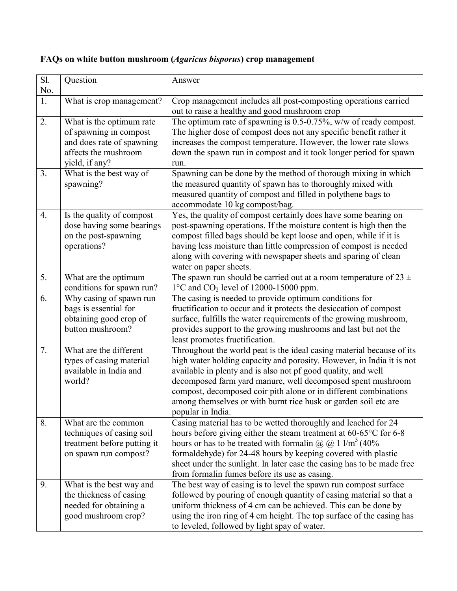## **FAQs on white button mushroom (***Agaricus bisporus***) crop management**

| Sl.<br>No.       | Question                                                                                                                  | Answer                                                                                                                                                                                                                                                                                                                                                                                                                                     |
|------------------|---------------------------------------------------------------------------------------------------------------------------|--------------------------------------------------------------------------------------------------------------------------------------------------------------------------------------------------------------------------------------------------------------------------------------------------------------------------------------------------------------------------------------------------------------------------------------------|
| 1.               | What is crop management?                                                                                                  | Crop management includes all post-composting operations carried<br>out to raise a healthy and good mushroom crop                                                                                                                                                                                                                                                                                                                           |
| 2.               | What is the optimum rate<br>of spawning in compost<br>and does rate of spawning<br>affects the mushroom<br>yield, if any? | The optimum rate of spawning is $0.5$ -0.75%, w/w of ready compost.<br>The higher dose of compost does not any specific benefit rather it<br>increases the compost temperature. However, the lower rate slows<br>down the spawn run in compost and it took longer period for spawn<br>run.                                                                                                                                                 |
| 3.               | What is the best way of<br>spawning?                                                                                      | Spawning can be done by the method of thorough mixing in which<br>the measured quantity of spawn has to thoroughly mixed with<br>measured quantity of compost and filled in polythene bags to<br>accommodate 10 kg compost/bag.                                                                                                                                                                                                            |
| $\overline{4}$ . | Is the quality of compost<br>dose having some bearings<br>on the post-spawning<br>operations?                             | Yes, the quality of compost certainly does have some bearing on<br>post-spawning operations. If the moisture content is high then the<br>compost filled bags should be kept loose and open, while if it is<br>having less moisture than little compression of compost is needed<br>along with covering with newspaper sheets and sparing of clean<br>water on paper sheets.                                                                |
| 5.               | What are the optimum<br>conditions for spawn run?                                                                         | The spawn run should be carried out at a room temperature of $23 \pm$<br>$1^{\circ}$ C and CO <sub>2</sub> level of 12000-15000 ppm.                                                                                                                                                                                                                                                                                                       |
| 6.               | Why casing of spawn run<br>bags is essential for<br>obtaining good crop of<br>button mushroom?                            | The casing is needed to provide optimum conditions for<br>fructification to occur and it protects the desiccation of compost<br>surface, fulfills the water requirements of the growing mushroom,<br>provides support to the growing mushrooms and last but not the<br>least promotes fructification.                                                                                                                                      |
| 7.               | What are the different<br>types of casing material<br>available in India and<br>world?                                    | Throughout the world peat is the ideal casing material because of its<br>high water holding capacity and porosity. However, in India it is not<br>available in plenty and is also not pf good quality, and well<br>decomposed farm yard manure, well decomposed spent mushroom<br>compost, decomposed coir pith alone or in different combinations<br>among themselves or with burnt rice husk or garden soil etc are<br>popular in India. |
| 8.               | What are the common<br>techniques of casing soil<br>treatment before putting it<br>on spawn run compost?                  | Casing material has to be wetted thoroughly and leached for 24<br>hours before giving either the steam treatment at 60-65°C for 6-8<br>hours or has to be treated with formalin $\omega(\omega)$ 1 l/m <sup>3</sup> (40%)<br>formaldehyde) for 24-48 hours by keeping covered with plastic<br>sheet under the sunlight. In later case the casing has to be made free<br>from formalin fumes before its use as casing.                      |
| 9.               | What is the best way and<br>the thickness of casing<br>needed for obtaining a<br>good mushroom crop?                      | The best way of casing is to level the spawn run compost surface<br>followed by pouring of enough quantity of casing material so that a<br>uniform thickness of 4 cm can be achieved. This can be done by<br>using the iron ring of 4 cm height. The top surface of the casing has<br>to leveled, followed by light spay of water.                                                                                                         |